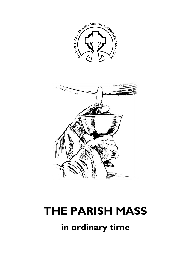



# **THE PARISH MASS**

# **in ordinary time**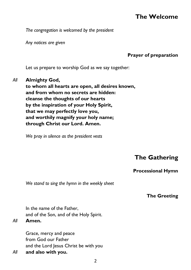## **The Welcome**

*The congregation is welcomed by the president*

*Any notices are given*

### **Prayer of preparation**

Let us prepare to worship God as we say together:

*All* **Almighty God,**

**to whom all hearts are open, all desires known, and from whom no secrets are hidden: cleanse the thoughts of our hearts by the inspiration of your Holy Spirit, that we may perfectly love you, and worthily magnify your holy name; through Christ our Lord. Amen.**

*We pray in silence as the president vests*

# **The Gathering**

### **Processional Hymn**

*We stand to sing the hymn in the weekly sheet*

### **The Greeting**

In the name of the Father, and of the Son, and of the Holy Spirit.

### *All* **Amen.**

Grace, mercy and peace from God our Father and the Lord Jesus Christ be with you *All* **and also with you.**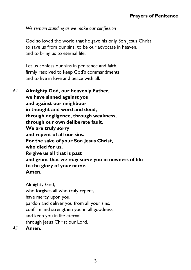#### *We remain standing as we make our confession*

God so loved the world that he gave his only Son Jesus Christ to save us from our sins, to be our advocate in heaven, and to bring us to eternal life.

Let us confess our sins in penitence and faith, firmly resolved to keep God's commandments and to live in love and peace with all.

*All* **Almighty God, our heavenly Father, we have sinned against you and against our neighbour in thought and word and deed, through negligence, through weakness, through our own deliberate fault. We are truly sorry and repent of all our sins. For the sake of your Son Jesus Christ, who died for us, forgive us all that is past and grant that we may serve you in newness of life to the glory of your name. Amen.**

Almighty God, who forgives all who truly repent, have mercy upon you, pardon and deliver you from all your sins, confirm and strengthen you in all goodness, and keep you in life eternal; through Jesus Christ our Lord.

*All* **Amen.**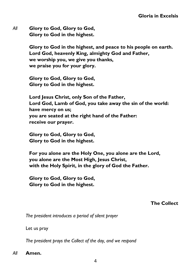*All* **Glory to God, Glory to God, Glory to God in the highest.**

> **Glory to God in the highest, and peace to his people on earth. Lord God, heavenly King, almighty God and Father, we worship you, we give you thanks, we praise you for your glory.**

**Glory to God, Glory to God, Glory to God in the highest.**

**Lord Jesus Christ, only Son of the Father, Lord God, Lamb of God, you take away the sin of the world: have mercy on us; you are seated at the right hand of the Father: receive our prayer.**

**Glory to God, Glory to God, Glory to God in the highest.**

**For you alone are the Holy One, you alone are the Lord, you alone are the Most High, Jesus Christ, with the Holy Spirit, in the glory of God the Father.**

**Glory to God, Glory to God, Glory to God in the highest.**

**The Collect**

*The president introduces a period of silent prayer*

Let us pray

*The president prays the Collect of the day, and we respond*

*All* **Amen.**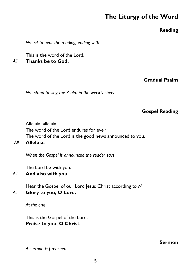# **The Liturgy of the Word**

### **Reading**

*We sit to hear the reading, ending with*

This is the word of the Lord.

*All* **Thanks be to God.**

**Gradual Psalm**

*We stand to sing the Psalm in the weekly sheet*

### **Gospel Reading**

Alleluia, alleluia. The word of the Lord endures for ever. The word of the Lord is the good news announced to you.

### *All* **Alleluia.**

*When the Gospel is announced the reader says*

The Lord be with you.

### *All* **And also with you.**

Hear the Gospel of our Lord Jesus Christ according to *N.*

### *All* **Glory to you, O Lord.**

*At the end*

This is the Gospel of the Lord. **Praise to you, O Christ.**

*A sermon is preached*

### **Sermon**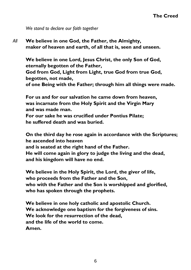*We stand to declare our faith together*

*All* **We believe in one God, the Father, the Almighty, maker of heaven and earth, of all that is, seen and unseen.**

**We believe in one Lord, Jesus Christ, the only Son of God, eternally begotten of the Father, God from God, Light from Light, true God from true God, begotten, not made, of one Being with the Father; through him all things were made.**

**For us and for our salvation he came down from heaven, was incarnate from the Holy Spirit and the Virgin Mary and was made man. For our sake he was crucified under Pontius Pilate; he suffered death and was buried.**

**On the third day he rose again in accordance with the Scriptures; he ascended into heaven and is seated at the right hand of the Father. He will come again in glory to judge the living and the dead, and his kingdom will have no end.**

**We believe in the Holy Spirit, the Lord, the giver of life, who proceeds from the Father and the Son, who with the Father and the Son is worshipped and glorified, who has spoken through the prophets.**

**We believe in one holy catholic and apostolic Church. We acknowledge one baptism for the forgiveness of sins. We look for the resurrection of the dead, and the life of the world to come. Amen.**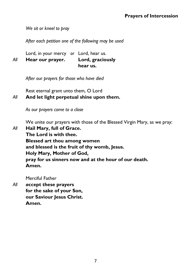### **Prayers of Intercession**

*We sit or kneel to pray*

*After each petition one of the following may be used*

Lord, in your mercy *or* Lord, hear us. *All* **Hear our prayer. Lord, graciously hear us.**

*After our prayers for those who have died*

Rest eternal grant unto them, O Lord *All* **And let light perpetual shine upon them.**

*As our prayers come to a close*

We unite our prayers with those of the Blessed Virgin Mary, as we pray:

*All* **Hail Mary, full of Grace. The Lord is with thee. Blessed art thou among women and blessed is the fruit of thy womb, Jesus. Holy Mary, Mother of God, pray for us sinners now and at the hour of our death. Amen.**

Merciful Father

*All a***ccept these prayers for the sake of your Son, our Saviour Jesus Christ. Amen.**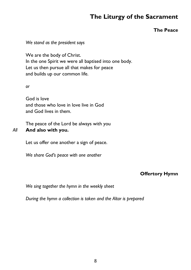## **The Liturgy of the Sacrament**

#### **The Peace**

*We stand as the president says*

We are the body of Christ. In the one Spirit we were all baptised into one body. Let us then pursue all that makes for peace and builds up our common life.

*or*

God is love and those who love in love live in God and God lives in them.

The peace of the Lord be always with you *All* **And also with you.**

Let us offer one another a sign of peace.

*We share God's peace with one another*

#### **Offertory Hymn**

*We sing together the hymn in the weekly sheet*

*During the hymn a collection is taken and the Altar is prepared*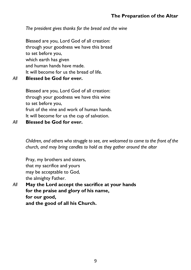*The president gives thanks for the bread and the wine*

Blessed are you, Lord God of all creation: through your goodness we have this bread to set before you, which earth has given and human hands have made. It will become for us the bread of life.

*All* **Blessed be God for ever.**

Blessed are you, Lord God of all creation: through your goodness we have this wine to set before you, fruit of the vine and work of human hands. It will become for us the cup of salvation.

### *All* **Blessed be God for ever.**

*Children, and others who struggle to see, are welcomed to come to the front of the church, and may bring candles to hold as they gather around the altar*

Pray, my brothers and sisters, that my sacrifice and yours may be acceptable to God, the almighty Father. *All* **May the Lord accept the sacrifice at your hands for the praise and glory of his name, for our good, and the good of all his Church.**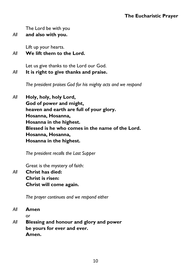The Lord be with you

*All* **and also with you.**

Lift up your hearts.

*All* **We lift them to the Lord.**

Let us give thanks to the Lord our God.

*All* **It is right to give thanks and praise.**

*The president praises God for his mighty acts and we respond*

*All* **Holy, holy, holy Lord, God of power and might, heaven and earth are full of your glory. Hosanna, Hosanna, Hosanna in the highest. Blessed is he who comes in the name of the Lord. Hosanna, Hosanna, Hosanna in the highest.**

*The president recalls the Last Supper*

Great is the mystery of faith:

*All* **Christ has died: Christ is risen: Christ will come again.**

*The prayer continues and we respond either*

*All* **Amen** o*r*

*All* **Blessing and honour and glory and power be yours for ever and ever. Amen.**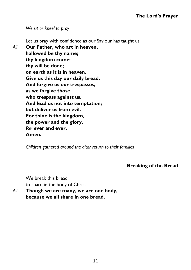*We sit or kneel to pray*

Let us pray with confidence as our Saviour has taught us *All* **Our Father, who art in heaven, hallowed be thy name; thy kingdom come; thy will be done; on earth as it is in heaven. Give us this day our daily bread. And forgive us our trespasses, as we forgive those who trespass against us. And lead us not into temptation; but deliver us from evil. For thine is the kingdom, the power and the glory, for ever and ever. Amen.**

*Children gathered around the altar return to their families*

**Breaking of the Bread**

We break this bread to share in the body of Christ

*All* **Though we are many, we are one body, because we all share in one bread.**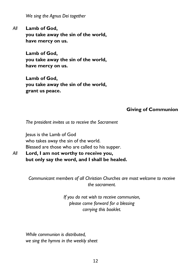*We sing the Agnus Dei together*

*All* **Lamb of God, you take away the sin of the world, have mercy on us.**

> **Lamb of God, you take away the sin of the world, have mercy on us.**

> **Lamb of God, you take away the sin of the world, grant us peace.**

### **Giving of Communion**

*The president invites us to receive the Sacrament*

Jesus is the Lamb of God who takes away the sin of the world. Blessed are those who are called to his supper.

*All* **Lord, I am not worthy to receive you, but only say the word, and I shall be healed.**

> *Communicant members of all Christian Churches are most welcome to receive the sacrament.*

> > *If you do not wish to receive communion, please come forward for a blessing carrying this booklet.*

*While communion is distributed, we sing the hymns in the weekly sheet*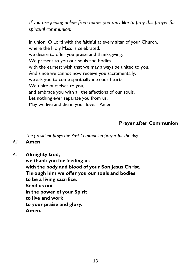*If you are joining online from home, you may like to pray this prayer for spiritual communion:*

In union, O Lord with the faithful at every altar of your Church, where the Holy Mass is celebrated, we desire to offer you praise and thanksgiving. We present to you our souls and bodies with the earnest wish that we may always be united to you. And since we cannot now receive you sacramentally, we ask you to come spiritually into our hearts. We unite ourselves to you, and embrace you with all the affections of our souls. Let nothing ever separate you from us. May we live and die in your love. Amen.

### **Prayer after Communion**

*The president prays the Post Communion prayer for the day*

### *All* **Amen**

### *All* **Almighty God,**

**we thank you for feeding us with the body and blood of your Son Jesus Christ. Through him we offer you our souls and bodies to be a living sacrifice. Send us out in the power of your Spirit to live and work to your praise and glory. Amen.**